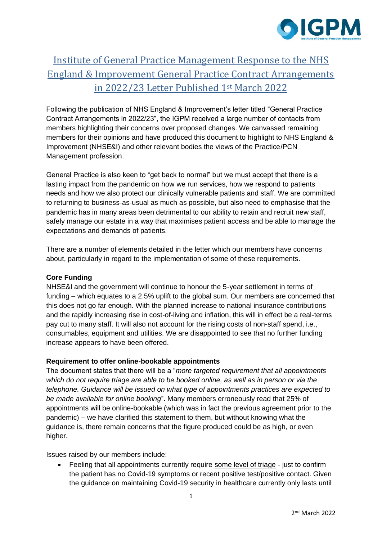

# Institute of General Practice Management Response to the NHS England & Improvement General Practice Contract Arrangements in 2022/23 Letter Published 1st March 2022

Following the publication of NHS England & Improvement's letter titled "General Practice Contract Arrangements in 2022/23", the IGPM received a large number of contacts from members highlighting their concerns over proposed changes. We canvassed remaining members for their opinions and have produced this document to highlight to NHS England & Improvement (NHSE&I) and other relevant bodies the views of the Practice/PCN Management profession.

General Practice is also keen to "get back to normal" but we must accept that there is a lasting impact from the pandemic on how we run services, how we respond to patients needs and how we also protect our clinically vulnerable patients and staff. We are committed to returning to business-as-usual as much as possible, but also need to emphasise that the pandemic has in many areas been detrimental to our ability to retain and recruit new staff, safely manage our estate in a way that maximises patient access and be able to manage the expectations and demands of patients.

There are a number of elements detailed in the letter which our members have concerns about, particularly in regard to the implementation of some of these requirements.

## **Core Funding**

NHSE&I and the government will continue to honour the 5-year settlement in terms of funding – which equates to a 2.5% uplift to the global sum. Our members are concerned that this does not go far enough. With the planned increase to national insurance contributions and the rapidly increasing rise in cost-of-living and inflation, this will in effect be a real-terms pay cut to many staff. It will also not account for the rising costs of non-staff spend, i.e., consumables, equipment and utilities. We are disappointed to see that no further funding increase appears to have been offered.

## **Requirement to offer online-bookable appointments**

The document states that there will be a "*more targeted requirement that all appointments which do not require triage are able to be booked online, as well as in person or via the telephone. Guidance will be issued on what type of appointments practices are expected to be made available for online booking*". Many members erroneously read that 25% of appointments will be online-bookable (which was in fact the previous agreement prior to the pandemic) – we have clarified this statement to them, but without knowing what the guidance is, there remain concerns that the figure produced could be as high, or even higher.

Issues raised by our members include:

• Feeling that all appointments currently require some level of triage - just to confirm the patient has no Covid-19 symptoms or recent positive test/positive contact. Given the guidance on maintaining Covid-19 security in healthcare currently only lasts until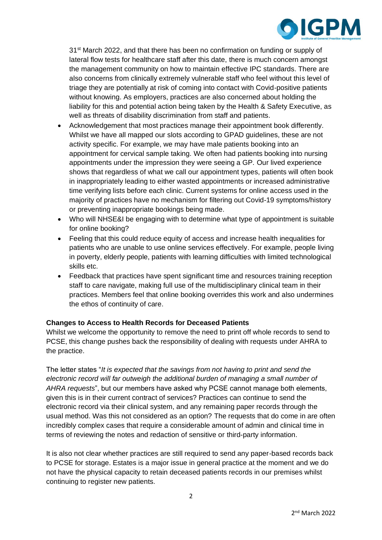

31<sup>st</sup> March 2022, and that there has been no confirmation on funding or supply of lateral flow tests for healthcare staff after this date, there is much concern amongst the management community on how to maintain effective IPC standards. There are also concerns from clinically extremely vulnerable staff who feel without this level of triage they are potentially at risk of coming into contact with Covid-positive patients without knowing. As employers, practices are also concerned about holding the liability for this and potential action being taken by the Health & Safety Executive, as well as threats of disability discrimination from staff and patients.

- Acknowledgement that most practices manage their appointment book differently. Whilst we have all mapped our slots according to GPAD guidelines, these are not activity specific. For example, we may have male patients booking into an appointment for cervical sample taking. We often had patients booking into nursing appointments under the impression they were seeing a GP. Our lived experience shows that regardless of what we call our appointment types, patients will often book in inappropriately leading to either wasted appointments or increased administrative time verifying lists before each clinic. Current systems for online access used in the majority of practices have no mechanism for filtering out Covid-19 symptoms/history or preventing inappropriate bookings being made.
- Who will NHSE&I be engaging with to determine what type of appointment is suitable for online booking?
- Feeling that this could reduce equity of access and increase health inequalities for patients who are unable to use online services effectively. For example, people living in poverty, elderly people, patients with learning difficulties with limited technological skills etc.
- Feedback that practices have spent significant time and resources training reception staff to care navigate, making full use of the multidisciplinary clinical team in their practices. Members feel that online booking overrides this work and also undermines the ethos of continuity of care.

## **Changes to Access to Health Records for Deceased Patients**

Whilst we welcome the opportunity to remove the need to print off whole records to send to PCSE, this change pushes back the responsibility of dealing with requests under AHRA to the practice.

The letter states "*It is expected that the savings from not having to print and send the electronic record will far outweigh the additional burden of managing a small number of AHRA requests*", but our members have asked why PCSE cannot manage both elements, given this is in their current contract of services? Practices can continue to send the electronic record via their clinical system, and any remaining paper records through the usual method. Was this not considered as an option? The requests that do come in are often incredibly complex cases that require a considerable amount of admin and clinical time in terms of reviewing the notes and redaction of sensitive or third-party information.

It is also not clear whether practices are still required to send any paper-based records back to PCSE for storage. Estates is a major issue in general practice at the moment and we do not have the physical capacity to retain deceased patients records in our premises whilst continuing to register new patients.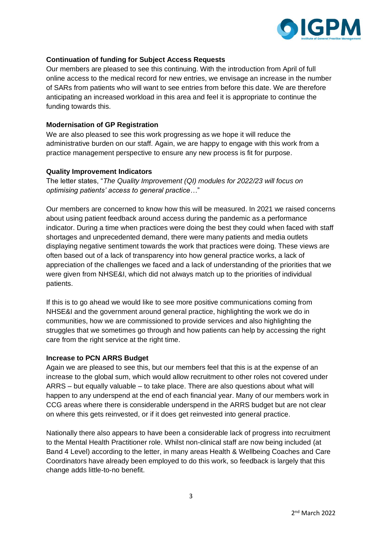

### **Continuation of funding for Subject Access Requests**

Our members are pleased to see this continuing. With the introduction from April of full online access to the medical record for new entries, we envisage an increase in the number of SARs from patients who will want to see entries from before this date. We are therefore anticipating an increased workload in this area and feel it is appropriate to continue the funding towards this.

#### **Modernisation of GP Registration**

We are also pleased to see this work progressing as we hope it will reduce the administrative burden on our staff. Again, we are happy to engage with this work from a practice management perspective to ensure any new process is fit for purpose.

### **Quality Improvement Indicators**

The letter states, "*The Quality Improvement (QI) modules for 2022/23 will focus on optimising patients' access to general practice…*"

Our members are concerned to know how this will be measured. In 2021 we raised concerns about using patient feedback around access during the pandemic as a performance indicator. During a time when practices were doing the best they could when faced with staff shortages and unprecedented demand, there were many patients and media outlets displaying negative sentiment towards the work that practices were doing. These views are often based out of a lack of transparency into how general practice works, a lack of appreciation of the challenges we faced and a lack of understanding of the priorities that we were given from NHSE&I, which did not always match up to the priorities of individual patients.

If this is to go ahead we would like to see more positive communications coming from NHSE&I and the government around general practice, highlighting the work we do in communities, how we are commissioned to provide services and also highlighting the struggles that we sometimes go through and how patients can help by accessing the right care from the right service at the right time.

#### **Increase to PCN ARRS Budget**

Again we are pleased to see this, but our members feel that this is at the expense of an increase to the global sum, which would allow recruitment to other roles not covered under ARRS – but equally valuable – to take place. There are also questions about what will happen to any underspend at the end of each financial year. Many of our members work in CCG areas where there is considerable underspend in the ARRS budget but are not clear on where this gets reinvested, or if it does get reinvested into general practice.

Nationally there also appears to have been a considerable lack of progress into recruitment to the Mental Health Practitioner role. Whilst non-clinical staff are now being included (at Band 4 Level) according to the letter, in many areas Health & Wellbeing Coaches and Care Coordinators have already been employed to do this work, so feedback is largely that this change adds little-to-no benefit.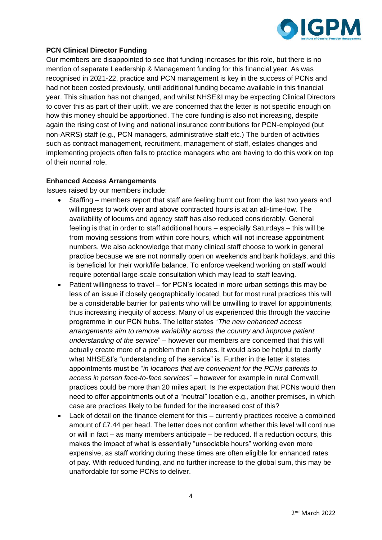

## **PCN Clinical Director Funding**

Our members are disappointed to see that funding increases for this role, but there is no mention of separate Leadership & Management funding for this financial year. As was recognised in 2021-22, practice and PCN management is key in the success of PCNs and had not been costed previously, until additional funding became available in this financial year. This situation has not changed, and whilst NHSE&I may be expecting Clinical Directors to cover this as part of their uplift, we are concerned that the letter is not specific enough on how this money should be apportioned. The core funding is also not increasing, despite again the rising cost of living and national insurance contributions for PCN-employed (but non-ARRS) staff (e.g., PCN managers, administrative staff etc.) The burden of activities such as contract management, recruitment, management of staff, estates changes and implementing projects often falls to practice managers who are having to do this work on top of their normal role.

## **Enhanced Access Arrangements**

Issues raised by our members include:

- Staffing members report that staff are feeling burnt out from the last two years and willingness to work over and above contracted hours is at an all-time-low. The availability of locums and agency staff has also reduced considerably. General feeling is that in order to staff additional hours – especially Saturdays – this will be from moving sessions from within core hours, which will not increase appointment numbers. We also acknowledge that many clinical staff choose to work in general practice because we are not normally open on weekends and bank holidays, and this is beneficial for their work/life balance. To enforce weekend working on staff would require potential large-scale consultation which may lead to staff leaving.
- Patient willingness to travel for PCN's located in more urban settings this may be less of an issue if closely geographically located, but for most rural practices this will be a considerable barrier for patients who will be unwilling to travel for appointments, thus increasing inequity of access. Many of us experienced this through the vaccine programme in our PCN hubs. The letter states "*The new enhanced access arrangements aim to remove variability across the country and improve patient understanding of the service*" – however our members are concerned that this will actually create more of a problem than it solves. It would also be helpful to clarify what NHSE&I's "understanding of the service" is. Further in the letter it states appointments must be "*in locations that are convenient for the PCNs patients to access in person face-to-face services*" – however for example in rural Cornwall, practices could be more than 20 miles apart. Is the expectation that PCNs would then need to offer appointments out of a "neutral" location e.g., another premises, in which case are practices likely to be funded for the increased cost of this?
- Lack of detail on the finance element for this currently practices receive a combined amount of £7.44 per head. The letter does not confirm whether this level will continue or will in fact – as many members anticipate – be reduced. If a reduction occurs, this makes the impact of what is essentially "unsociable hours" working even more expensive, as staff working during these times are often eligible for enhanced rates of pay. With reduced funding, and no further increase to the global sum, this may be unaffordable for some PCNs to deliver.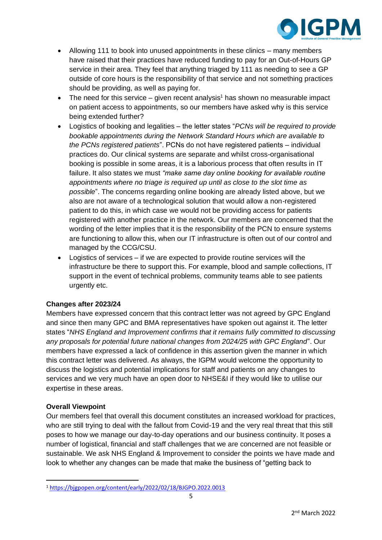

- Allowing 111 to book into unused appointments in these clinics many members have raised that their practices have reduced funding to pay for an Out-of-Hours GP service in their area. They feel that anything triaged by 111 as needing to see a GP outside of core hours is the responsibility of that service and not something practices should be providing, as well as paying for.
- The need for this service given recent analysis<sup>1</sup> has shown no measurable impact on patient access to appointments, so our members have asked why is this service being extended further?
- Logistics of booking and legalities the letter states "*PCNs will be required to provide bookable appointments during the Network Standard Hours which are available to the PCNs registered patients*". PCNs do not have registered patients – individual practices do. Our clinical systems are separate and whilst cross-organisational booking is possible in some areas, it is a laborious process that often results in IT failure. It also states we must *"make same day online booking for available routine appointments where no triage is required up until as close to the slot time as possible*". The concerns regarding online booking are already listed above, but we also are not aware of a technological solution that would allow a non-registered patient to do this, in which case we would not be providing access for patients registered with another practice in the network. Our members are concerned that the wording of the letter implies that it is the responsibility of the PCN to ensure systems are functioning to allow this, when our IT infrastructure is often out of our control and managed by the CCG/CSU.
- Logistics of services if we are expected to provide routine services will the infrastructure be there to support this. For example, blood and sample collections, IT support in the event of technical problems, community teams able to see patients urgently etc.

## **Changes after 2023/24**

Members have expressed concern that this contract letter was not agreed by GPC England and since then many GPC and BMA representatives have spoken out against it. The letter states "*NHS England and Improvement confirms that it remains fully committed to discussing any proposals for potential future national changes from 2024/25 with GPC England*". Our members have expressed a lack of confidence in this assertion given the manner in which this contract letter was delivered. As always, the IGPM would welcome the opportunity to discuss the logistics and potential implications for staff and patients on any changes to services and we very much have an open door to NHSE&I if they would like to utilise our expertise in these areas.

## **Overall Viewpoint**

Our members feel that overall this document constitutes an increased workload for practices, who are still trying to deal with the fallout from Covid-19 and the very real threat that this still poses to how we manage our day-to-day operations and our business continuity. It poses a number of logistical, financial and staff challenges that we are concerned are not feasible or sustainable. We ask NHS England & Improvement to consider the points we have made and look to whether any changes can be made that make the business of "getting back to

<sup>1</sup> <https://bjgpopen.org/content/early/2022/02/18/BJGPO.2022.0013>